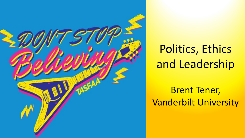

# Politics, Ethics and Leadership

Brent Tener, Vanderbilt University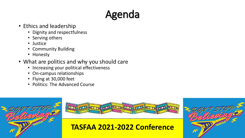# Agenda

- Ethics and leadership
	- Dignity and respectfulness
	- Serving others
	- Justice
	- Community Building
	- Honesty
- What are politics and why you should care
	- Increasing your political effectiveness
	- On-campus relationships
	- Flying at 30,000 feet
	- Politics: The Advanced Course





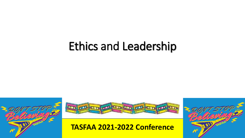# Ethics and Leadership





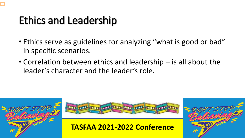## Ethics and Leadership

- Ethics serve as guidelines for analyzing "what is good or bad" in specific scenarios.
- Correlation between ethics and leadership is all about the leader's character and the leader's role.





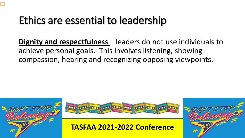**Dignity and respectfulness** – leaders do not use individuals to achieve personal goals. This involves listening, showing compassion, hearing and recognizing opposing viewpoints.





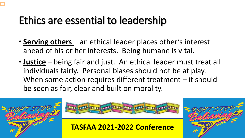- **Serving others**  an ethical leader places other's interest ahead of his or her interests. Being humane is vital.
- **Justice** being fair and just. An ethical leader must treat all individuals fairly. Personal biases should not be at play. When some action requires different treatment – it should be seen as fair, clear and built on morality.





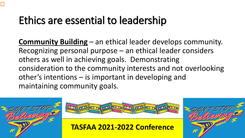**Community Building** – an ethical leader develops community. Recognizing personal purpose – an ethical leader considers others as well in achieving goals. Demonstrating consideration to the community interests and not overlooking other's intentions – is important in developing and maintaining community goals.





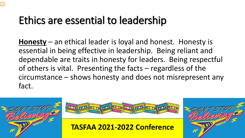**Honesty** – an ethical leader is loyal and honest. Honesty is essential in being effective in leadership. Being reliant and dependable are traits in honesty for leaders. Being respectful of others is vital. Presenting the facts – regardless of the circumstance – shows honesty and does not misrepresent any fact.





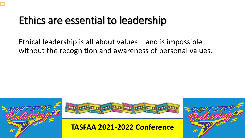Ethical leadership is all about values – and is impossible without the recognition and awareness of personal values.





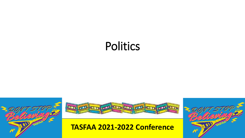# Politics





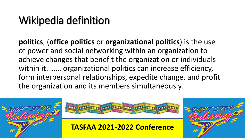## Wikipedia definition

**politics**, (**office politics** or **organizational politics**) is the use of power and social networking within an organization to achieve changes that benefit the organization or individuals within it. …… organizational politics can increase efficiency, form interpersonal relationships, expedite change, and profit the organization and its members simultaneously.





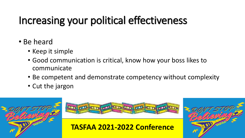# Increasing your political effectiveness

- Be heard
	- Keep it simple
	- Good communication is critical, know how your boss likes to communicate
	- Be competent and demonstrate competency without complexity
	- Cut the jargon





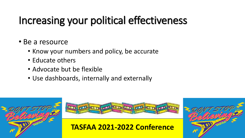# Increasing your political effectiveness

#### • Be a resource

- Know your numbers and policy, be accurate
- Educate others
- Advocate but be flexible
- Use dashboards, internally and externally





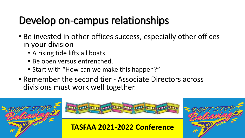# Develop on-campus relationships

- Be invested in other offices success, especially other offices in your division
	- A rising tide lifts all boats
	- Be open versus entrenched.
	- Start with "How can we make this happen?"
- Remember the second tier Associate Directors across divisions must work well together.





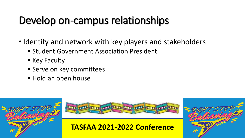# Develop on-campus relationships

- Identify and network with key players and stakeholders
	- Student Government Association President
	- Key Faculty
	- Serve on key committees
	- Hold an open house





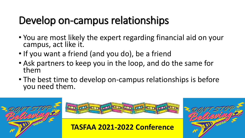## Develop on-campus relationships

- You are most likely the expert regarding financial aid on your campus, act like it.
- If you want a friend (and you do), be a friend
- Ask partners to keep you in the loop, and do the same for them
- The best time to develop on-campus relationships is before you need them.





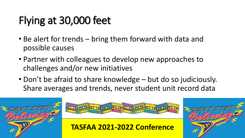# Flying at 30,000 feet

- Be alert for trends bring them forward with data and possible causes
- Partner with colleagues to develop new approaches to challenges and/or new initiatives
- Don't be afraid to share knowledge but do so judiciously. Share averages and trends, never student unit record data





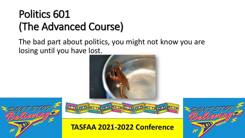## Politics 601 (The Advanced Course)

The bad part about politics, you might not know you are losing until you have lost.







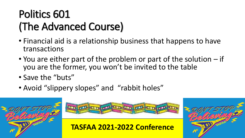# Politics 601 (The Advanced Course)

- Financial aid is a relationship business that happens to have transactions
- You are either part of the problem or part of the solution if you are the former, you won't be invited to the table
- Save the "buts"
- Avoid "slippery slopes" and "rabbit holes"





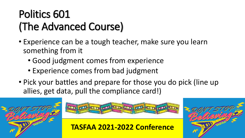## Politics 601 (The Advanced Course)

- Experience can be a tough teacher, make sure you learn something from it
	- Good judgment comes from experience
	- Experience comes from bad judgment
- Pick your battles and prepare for those you do pick (line up allies, get data, pull the compliance card!)